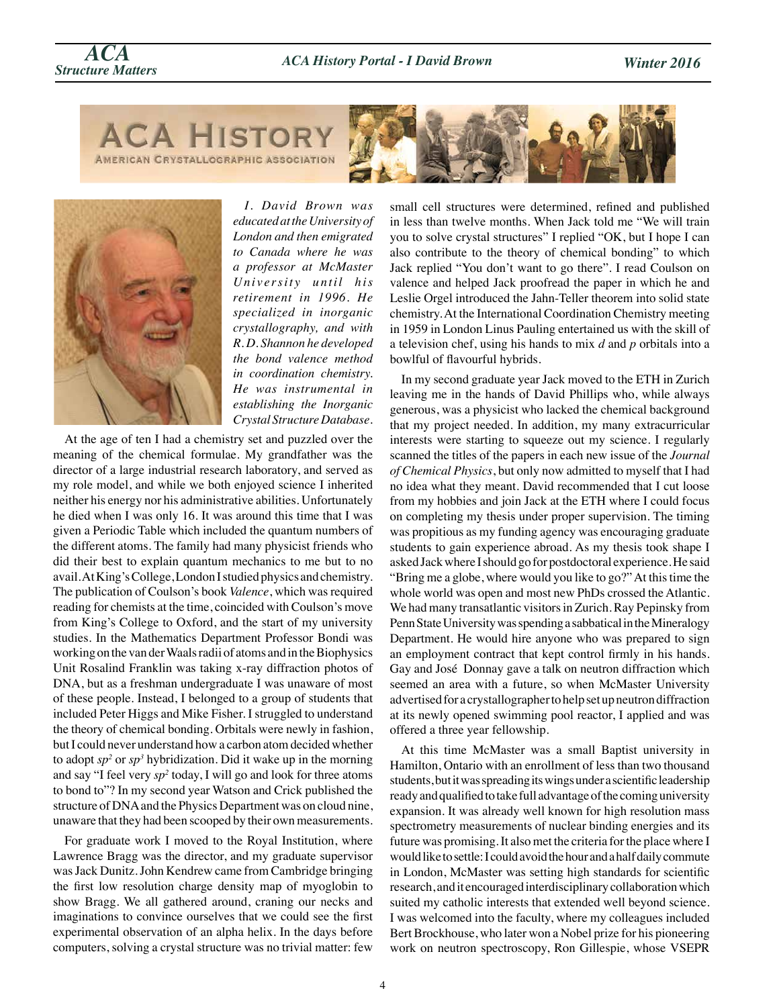*Structure Matters ACA History Portal - I David Brown*

**ACA HISTORY** AMERICAN CRYSTALLOGRAPHIC ASSOCIATION





*ACA*

*I. David Brown was educated at the University of London and then emigrated to Canada where he was a professor at McMaster University until his retirement in 1996. He specialized in inorganic crystallography, and with R. D. Shannon he developed the bond valence method in coordination chemistry. He was instrumental in establishing the Inorganic Crystal Structure Database.*

At the age of ten I had a chemistry set and puzzled over the meaning of the chemical formulae. My grandfather was the director of a large industrial research laboratory, and served as my role model, and while we both enjoyed science I inherited neither his energy nor his administrative abilities. Unfortunately he died when I was only 16. It was around this time that I was given a Periodic Table which included the quantum numbers of the different atoms. The family had many physicist friends who did their best to explain quantum mechanics to me but to no avail. At King's College, London I studied physics and chemistry. The publication of Coulson's book *Valence*, which was required reading for chemists at the time, coincided with Coulson's move from King's College to Oxford, and the start of my university studies. In the Mathematics Department Professor Bondi was working on the van der Waals radii of atoms and in the Biophysics Unit Rosalind Franklin was taking x-ray diffraction photos of DNA, but as a freshman undergraduate I was unaware of most of these people. Instead, I belonged to a group of students that included Peter Higgs and Mike Fisher. I struggled to understand the theory of chemical bonding. Orbitals were newly in fashion, but I could never understand how a carbon atom decided whether to adopt  $sp^2$  or  $sp^3$  hybridization. Did it wake up in the morning and say "I feel very *sp2* today, I will go and look for three atoms to bond to"? In my second year Watson and Crick published the structure of DNA and the Physics Department was on cloud nine, unaware that they had been scooped by their own measurements.

For graduate work I moved to the Royal Institution, where Lawrence Bragg was the director, and my graduate supervisor was Jack Dunitz. John Kendrew came from Cambridge bringing the first low resolution charge density map of myoglobin to show Bragg. We all gathered around, craning our necks and imaginations to convince ourselves that we could see the first experimental observation of an alpha helix. In the days before computers, solving a crystal structure was no trivial matter: few

small cell structures were determined, refined and published in less than twelve months. When Jack told me "We will train you to solve crystal structures" I replied "OK, but I hope I can also contribute to the theory of chemical bonding" to which Jack replied "You don't want to go there". I read Coulson on valence and helped Jack proofread the paper in which he and Leslie Orgel introduced the Jahn-Teller theorem into solid state chemistry. At the International Coordination Chemistry meeting in 1959 in London Linus Pauling entertained us with the skill of a television chef, using his hands to mix *d* and *p* orbitals into a bowlful of flavourful hybrids.

In my second graduate year Jack moved to the ETH in Zurich leaving me in the hands of David Phillips who, while always generous, was a physicist who lacked the chemical background that my project needed. In addition, my many extracurricular interests were starting to squeeze out my science. I regularly scanned the titles of the papers in each new issue of the *Journal of Chemical Physics*, but only now admitted to myself that I had no idea what they meant. David recommended that I cut loose from my hobbies and join Jack at the ETH where I could focus on completing my thesis under proper supervision. The timing was propitious as my funding agency was encouraging graduate students to gain experience abroad. As my thesis took shape I asked Jack where I should go for postdoctoral experience. He said "Bring me a globe, where would you like to go?" At this time the whole world was open and most new PhDs crossed the Atlantic. We had many transatlantic visitors in Zurich. Ray Pepinsky from Penn State University was spending a sabbatical in the Mineralogy Department. He would hire anyone who was prepared to sign an employment contract that kept control firmly in his hands. Gay and José Donnay gave a talk on neutron diffraction which seemed an area with a future, so when McMaster University advertised for a crystallographer to help set up neutron diffraction at its newly opened swimming pool reactor, I applied and was offered a three year fellowship.

At this time McMaster was a small Baptist university in Hamilton, Ontario with an enrollment of less than two thousand students, but it was spreading its wings under a scientific leadership ready and qualified to take full advantage of the coming university expansion. It was already well known for high resolution mass spectrometry measurements of nuclear binding energies and its future was promising. It also met the criteria for the place where I would like to settle: I could avoid the hour and a half daily commute in London, McMaster was setting high standards for scientific research, and it encouraged interdisciplinary collaboration which suited my catholic interests that extended well beyond science. I was welcomed into the faculty, where my colleagues included Bert Brockhouse, who later won a Nobel prize for his pioneering work on neutron spectroscopy, Ron Gillespie, whose VSEPR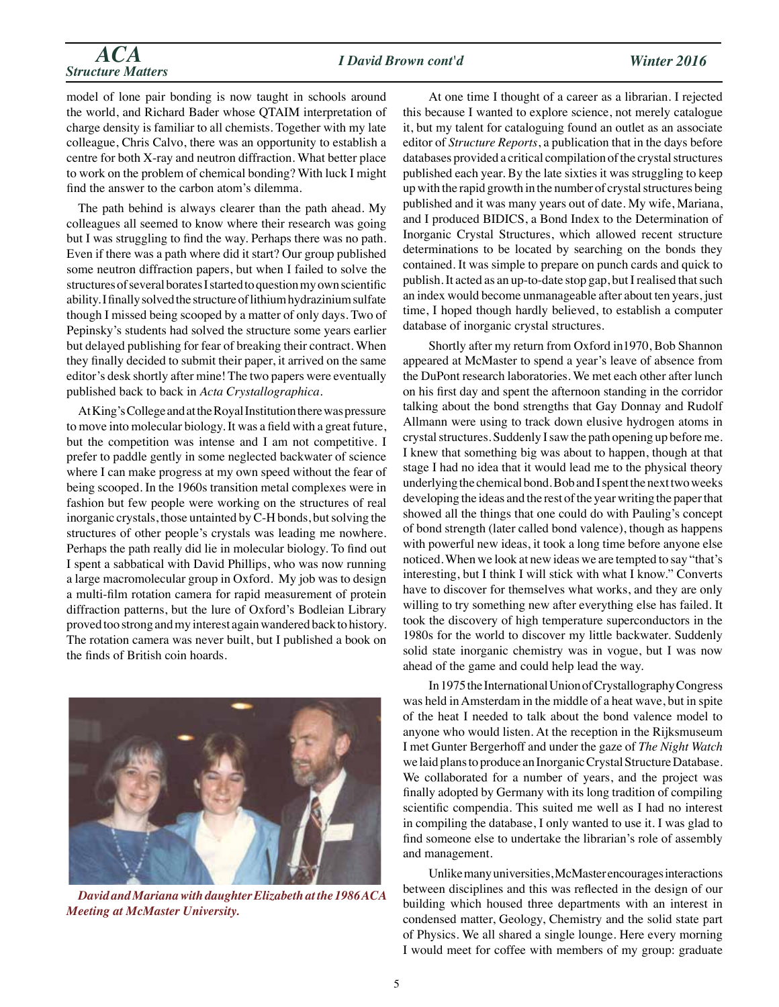# *ACA I David Brown cont'd Winter 2016 Structure Matters*

model of lone pair bonding is now taught in schools around the world, and Richard Bader whose QTAIM interpretation of charge density is familiar to all chemists. Together with my late colleague, Chris Calvo, there was an opportunity to establish a centre for both X-ray and neutron diffraction. What better place to work on the problem of chemical bonding? With luck I might find the answer to the carbon atom's dilemma.

The path behind is always clearer than the path ahead. My colleagues all seemed to know where their research was going but I was struggling to find the way. Perhaps there was no path. Even if there was a path where did it start? Our group published some neutron diffraction papers, but when I failed to solve the structures of several borates I started to question my own scientific ability. I finally solved the structure of lithium hydrazinium sulfate though I missed being scooped by a matter of only days. Two of Pepinsky's students had solved the structure some years earlier but delayed publishing for fear of breaking their contract. When they finally decided to submit their paper, it arrived on the same editor's desk shortly after mine! The two papers were eventually published back to back in *Acta Crystallographica*.

At King's College and at the Royal Institution there was pressure to move into molecular biology. It was a field with a great future, but the competition was intense and I am not competitive. I prefer to paddle gently in some neglected backwater of science where I can make progress at my own speed without the fear of being scooped. In the 1960s transition metal complexes were in fashion but few people were working on the structures of real inorganic crystals, those untainted by C-H bonds, but solving the structures of other people's crystals was leading me nowhere. Perhaps the path really did lie in molecular biology. To find out I spent a sabbatical with David Phillips, who was now running a large macromolecular group in Oxford. My job was to design a multi-film rotation camera for rapid measurement of protein diffraction patterns, but the lure of Oxford's Bodleian Library proved too strong and my interest again wandered back to history. The rotation camera was never built, but I published a book on the finds of British coin hoards.



*David and Mariana with daughter Elizabeth at the 1986 ACA Meeting at McMaster University.*

At one time I thought of a career as a librarian. I rejected this because I wanted to explore science, not merely catalogue it, but my talent for cataloguing found an outlet as an associate editor of *Structure Reports*, a publication that in the days before databases provided a critical compilation of the crystal structures published each year. By the late sixties it was struggling to keep up with the rapid growth in the number of crystal structures being published and it was many years out of date. My wife, Mariana, and I produced BIDICS, a Bond Index to the Determination of Inorganic Crystal Structures, which allowed recent structure determinations to be located by searching on the bonds they contained. It was simple to prepare on punch cards and quick to publish. It acted as an up-to-date stop gap, but I realised that such an index would become unmanageable after about ten years, just time, I hoped though hardly believed, to establish a computer database of inorganic crystal structures.

Shortly after my return from Oxford in1970, Bob Shannon appeared at McMaster to spend a year's leave of absence from the DuPont research laboratories. We met each other after lunch on his first day and spent the afternoon standing in the corridor talking about the bond strengths that Gay Donnay and Rudolf Allmann were using to track down elusive hydrogen atoms in crystal structures. Suddenly I saw the path opening up before me. I knew that something big was about to happen, though at that stage I had no idea that it would lead me to the physical theory underlying the chemical bond. Bob and I spent the next two weeks developing the ideas and the rest of the year writing the paper that showed all the things that one could do with Pauling's concept of bond strength (later called bond valence), though as happens with powerful new ideas, it took a long time before anyone else noticed. When we look at new ideas we are tempted to say "that's interesting, but I think I will stick with what I know." Converts have to discover for themselves what works, and they are only willing to try something new after everything else has failed. It took the discovery of high temperature superconductors in the 1980s for the world to discover my little backwater. Suddenly solid state inorganic chemistry was in vogue, but I was now ahead of the game and could help lead the way.

In 1975 the International Union of Crystallography Congress was held in Amsterdam in the middle of a heat wave, but in spite of the heat I needed to talk about the bond valence model to anyone who would listen. At the reception in the Rijksmuseum I met Gunter Bergerhoff and under the gaze of *The Night Watch* we laid plans to produce an Inorganic Crystal Structure Database. We collaborated for a number of years, and the project was finally adopted by Germany with its long tradition of compiling scientific compendia. This suited me well as I had no interest in compiling the database, I only wanted to use it. I was glad to find someone else to undertake the librarian's role of assembly and management.

Unlike many universities, McMaster encourages interactions between disciplines and this was reflected in the design of our building which housed three departments with an interest in condensed matter, Geology, Chemistry and the solid state part of Physics. We all shared a single lounge. Here every morning I would meet for coffee with members of my group: graduate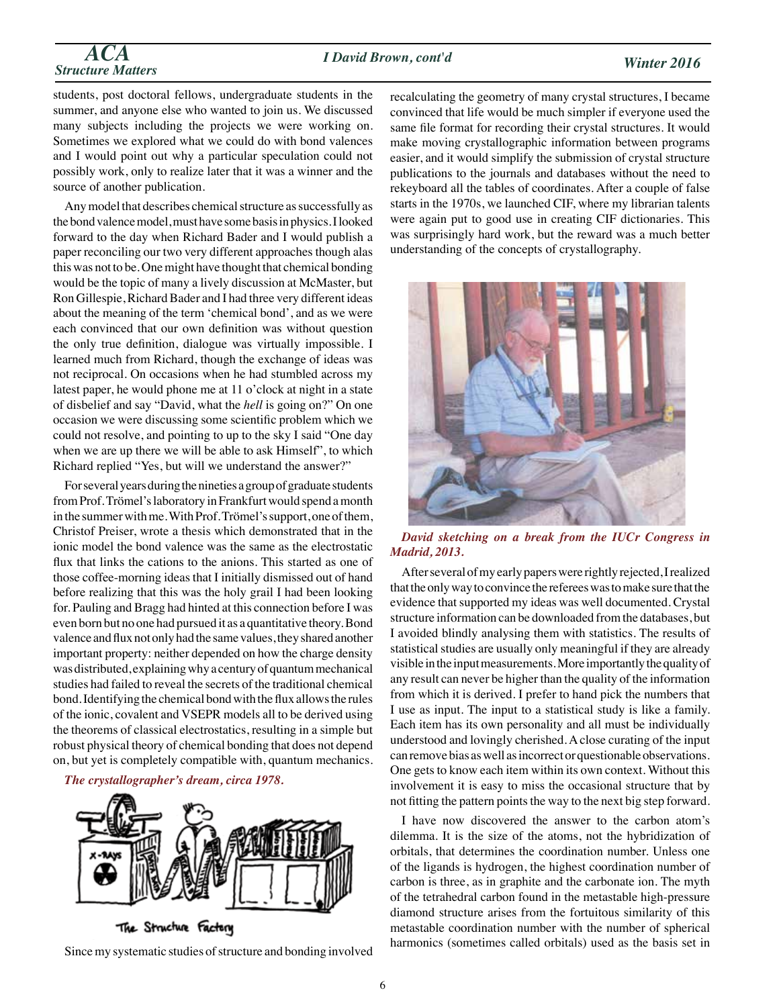#### *I David Brown, cont'd*

## *ACA Structure Matters*

## *Winter 2016*

students, post doctoral fellows, undergraduate students in the summer, and anyone else who wanted to join us. We discussed many subjects including the projects we were working on. Sometimes we explored what we could do with bond valences and I would point out why a particular speculation could not possibly work, only to realize later that it was a winner and the source of another publication.

Any model that describes chemical structure as successfully as the bond valence model, must have some basis in physics. I looked forward to the day when Richard Bader and I would publish a paper reconciling our two very different approaches though alas this was not to be. One might have thought that chemical bonding would be the topic of many a lively discussion at McMaster, but Ron Gillespie, Richard Bader and I had three very different ideas about the meaning of the term 'chemical bond', and as we were each convinced that our own definition was without question the only true definition, dialogue was virtually impossible. I learned much from Richard, though the exchange of ideas was not reciprocal. On occasions when he had stumbled across my latest paper, he would phone me at 11 o'clock at night in a state of disbelief and say "David, what the *hell* is going on?" On one occasion we were discussing some scientific problem which we could not resolve, and pointing to up to the sky I said "One day when we are up there we will be able to ask Himself", to which Richard replied "Yes, but will we understand the answer?"

For several years during the nineties a group of graduate students from Prof. Trömel's laboratory in Frankfurt would spend a month in the summer with me. With Prof. Trömel's support, one of them, Christof Preiser, wrote a thesis which demonstrated that in the ionic model the bond valence was the same as the electrostatic flux that links the cations to the anions. This started as one of those coffee-morning ideas that I initially dismissed out of hand before realizing that this was the holy grail I had been looking for. Pauling and Bragg had hinted at this connection before I was even born but no one had pursued it as a quantitative theory. Bond valence and flux not only had the same values, they shared another important property: neither depended on how the charge density was distributed, explaining why a century of quantum mechanical studies had failed to reveal the secrets of the traditional chemical bond. Identifying the chemical bond with the flux allows the rules of the ionic, covalent and VSEPR models all to be derived using the theorems of classical electrostatics, resulting in a simple but robust physical theory of chemical bonding that does not depend on, but yet is completely compatible with, quantum mechanics.

*The crystallographer's dream, circa 1978.*



The Structure Factory

Since my systematic studies of structure and bonding involved

recalculating the geometry of many crystal structures, I became convinced that life would be much simpler if everyone used the same file format for recording their crystal structures. It would make moving crystallographic information between programs easier, and it would simplify the submission of crystal structure publications to the journals and databases without the need to rekeyboard all the tables of coordinates. After a couple of false starts in the 1970s, we launched CIF, where my librarian talents were again put to good use in creating CIF dictionaries. This was surprisingly hard work, but the reward was a much better understanding of the concepts of crystallography.



*David sketching on a break from the IUCr Congress in Madrid, 2013.*

After several of my early papers were rightly rejected, I realized that the only way to convince the referees was to make sure that the evidence that supported my ideas was well documented. Crystal structure information can be downloaded from the databases, but I avoided blindly analysing them with statistics. The results of statistical studies are usually only meaningful if they are already visible in the input measurements. More importantly the quality of any result can never be higher than the quality of the information from which it is derived. I prefer to hand pick the numbers that I use as input. The input to a statistical study is like a family. Each item has its own personality and all must be individually understood and lovingly cherished. A close curating of the input can remove bias as well as incorrect or questionable observations. One gets to know each item within its own context. Without this involvement it is easy to miss the occasional structure that by not fitting the pattern points the way to the next big step forward.

I have now discovered the answer to the carbon atom's dilemma. It is the size of the atoms, not the hybridization of orbitals, that determines the coordination number. Unless one of the ligands is hydrogen, the highest coordination number of carbon is three, as in graphite and the carbonate ion. The myth of the tetrahedral carbon found in the metastable high-pressure diamond structure arises from the fortuitous similarity of this metastable coordination number with the number of spherical harmonics (sometimes called orbitals) used as the basis set in